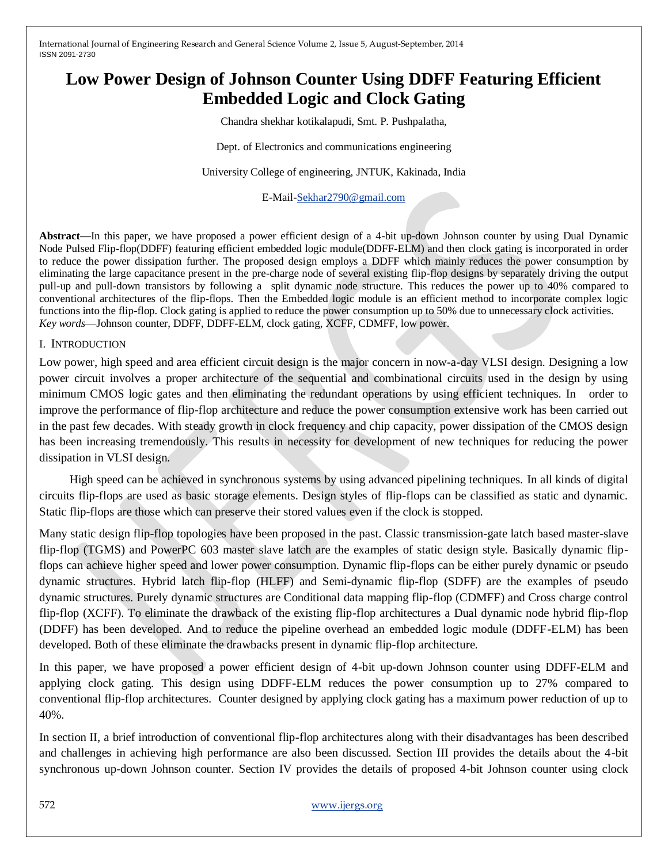# **Low Power Design of Johnson Counter Using DDFF Featuring Efficient Embedded Logic and Clock Gating**

Chandra shekhar kotikalapudi, Smt. P. Pushpalatha,

Dept. of Electronics and communications engineering

University College of engineering, JNTUK, Kakinada, India

E-Mail[-Sekhar2790@gmail.com](mailto:Sekhar2790@gmail.com)

**Abstract—**In this paper, we have proposed a power efficient design of a 4-bit up-down Johnson counter by using Dual Dynamic Node Pulsed Flip-flop(DDFF) featuring efficient embedded logic module(DDFF-ELM) and then clock gating is incorporated in order to reduce the power dissipation further. The proposed design employs a DDFF which mainly reduces the power consumption by eliminating the large capacitance present in the pre-charge node of several existing flip-flop designs by separately driving the output pull-up and pull-down transistors by following a split dynamic node structure. This reduces the power up to 40% compared to conventional architectures of the flip-flops. Then the Embedded logic module is an efficient method to incorporate complex logic functions into the flip-flop. Clock gating is applied to reduce the power consumption up to 50% due to unnecessary clock activities. *Key words*—Johnson counter, DDFF, DDFF-ELM, clock gating, XCFF, CDMFF, low power.

#### I. INTRODUCTION

Low power, high speed and area efficient circuit design is the major concern in now-a-day VLSI design. Designing a low power circuit involves a proper architecture of the sequential and combinational circuits used in the design by using minimum CMOS logic gates and then eliminating the redundant operations by using efficient techniques. In order to improve the performance of flip-flop architecture and reduce the power consumption extensive work has been carried out in the past few decades. With steady growth in clock frequency and chip capacity, power dissipation of the CMOS design has been increasing tremendously. This results in necessity for development of new techniques for reducing the power dissipation in VLSI design.

 High speed can be achieved in synchronous systems by using advanced pipelining techniques. In all kinds of digital circuits flip-flops are used as basic storage elements. Design styles of flip-flops can be classified as static and dynamic. Static flip-flops are those which can preserve their stored values even if the clock is stopped.

Many static design flip-flop topologies have been proposed in the past. Classic transmission-gate latch based master-slave flip-flop (TGMS) and PowerPC 603 master slave latch are the examples of static design style. Basically dynamic flipflops can achieve higher speed and lower power consumption. Dynamic flip-flops can be either purely dynamic or pseudo dynamic structures. Hybrid latch flip-flop (HLFF) and Semi-dynamic flip-flop (SDFF) are the examples of pseudo dynamic structures. Purely dynamic structures are Conditional data mapping flip-flop (CDMFF) and Cross charge control flip-flop (XCFF). To eliminate the drawback of the existing flip-flop architectures a Dual dynamic node hybrid flip-flop (DDFF) has been developed. And to reduce the pipeline overhead an embedded logic module (DDFF-ELM) has been developed. Both of these eliminate the drawbacks present in dynamic flip-flop architecture.

In this paper, we have proposed a power efficient design of 4-bit up-down Johnson counter using DDFF-ELM and applying clock gating. This design using DDFF-ELM reduces the power consumption up to 27% compared to conventional flip-flop architectures. Counter designed by applying clock gating has a maximum power reduction of up to 40%.

In section II, a brief introduction of conventional flip-flop architectures along with their disadvantages has been described and challenges in achieving high performance are also been discussed. Section III provides the details about the 4-bit synchronous up-down Johnson counter. Section IV provides the details of proposed 4-bit Johnson counter using clock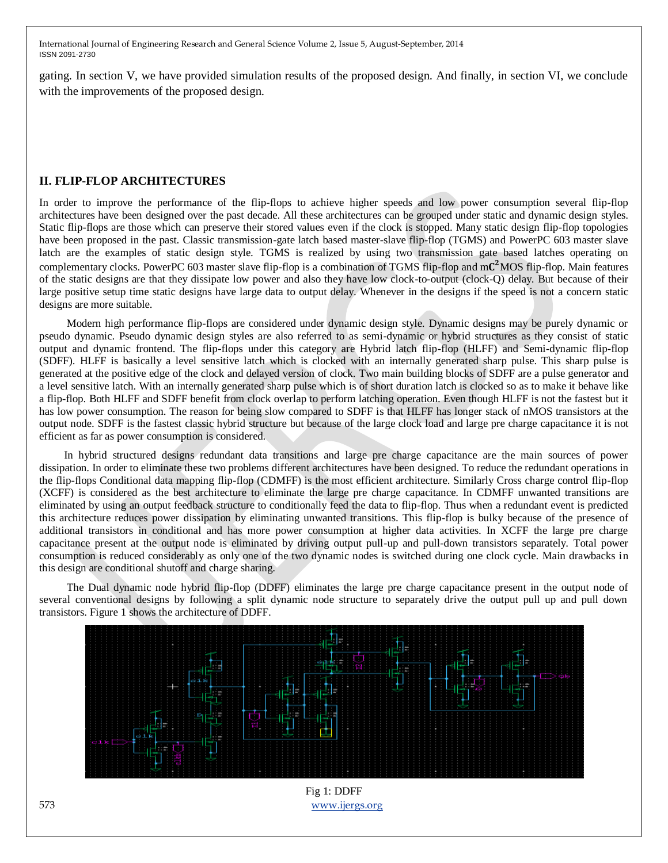gating. In section V, we have provided simulation results of the proposed design. And finally, in section VI, we conclude with the improvements of the proposed design.

### **II. FLIP-FLOP ARCHITECTURES**

In order to improve the performance of the flip-flops to achieve higher speeds and low power consumption several flip-flop architectures have been designed over the past decade. All these architectures can be grouped under static and dynamic design styles. Static flip-flops are those which can preserve their stored values even if the clock is stopped. Many static design flip-flop topologies have been proposed in the past. Classic transmission-gate latch based master-slave flip-flop (TGMS) and PowerPC 603 master slave latch are the examples of static design style. TGMS is realized by using two transmission gate based latches operating on complementary clocks. PowerPC 603 master slave flip-flop is a combination of TGMS flip-flop and m $C^2$ MOS flip-flop. Main features of the static designs are that they dissipate low power and also they have low clock-to-output (clock-Q) delay. But because of their large positive setup time static designs have large data to output delay. Whenever in the designs if the speed is not a concern static designs are more suitable.

 Modern high performance flip-flops are considered under dynamic design style. Dynamic designs may be purely dynamic or pseudo dynamic. Pseudo dynamic design styles are also referred to as semi-dynamic or hybrid structures as they consist of static output and dynamic frontend. The flip-flops under this category are Hybrid latch flip-flop (HLFF) and Semi-dynamic flip-flop (SDFF). HLFF is basically a level sensitive latch which is clocked with an internally generated sharp pulse. This sharp pulse is generated at the positive edge of the clock and delayed version of clock. Two main building blocks of SDFF are a pulse generator and a level sensitive latch. With an internally generated sharp pulse which is of short duration latch is clocked so as to make it behave like a flip-flop. Both HLFF and SDFF benefit from clock overlap to perform latching operation. Even though HLFF is not the fastest but it has low power consumption. The reason for being slow compared to SDFF is that HLFF has longer stack of nMOS transistors at the output node. SDFF is the fastest classic hybrid structure but because of the large clock load and large pre charge capacitance it is not efficient as far as power consumption is considered.

 In hybrid structured designs redundant data transitions and large pre charge capacitance are the main sources of power dissipation. In order to eliminate these two problems different architectures have been designed. To reduce the redundant operations in the flip-flops Conditional data mapping flip-flop (CDMFF) is the most efficient architecture. Similarly Cross charge control flip-flop (XCFF) is considered as the best architecture to eliminate the large pre charge capacitance. In CDMFF unwanted transitions are eliminated by using an output feedback structure to conditionally feed the data to flip-flop. Thus when a redundant event is predicted this architecture reduces power dissipation by eliminating unwanted transitions. This flip-flop is bulky because of the presence of additional transistors in conditional and has more power consumption at higher data activities. In XCFF the large pre charge capacitance present at the output node is eliminated by driving output pull-up and pull-down transistors separately. Total power consumption is reduced considerably as only one of the two dynamic nodes is switched during one clock cycle. Main drawbacks in this design are conditional shutoff and charge sharing.

 The Dual dynamic node hybrid flip-flop (DDFF) eliminates the large pre charge capacitance present in the output node of several conventional designs by following a split dynamic node structure to separately drive the output pull up and pull down transistors. Figure 1 shows the architecture of DDFF.



573 [www.ijergs.org](http://www.ijergs.org/) Fig 1: DDFF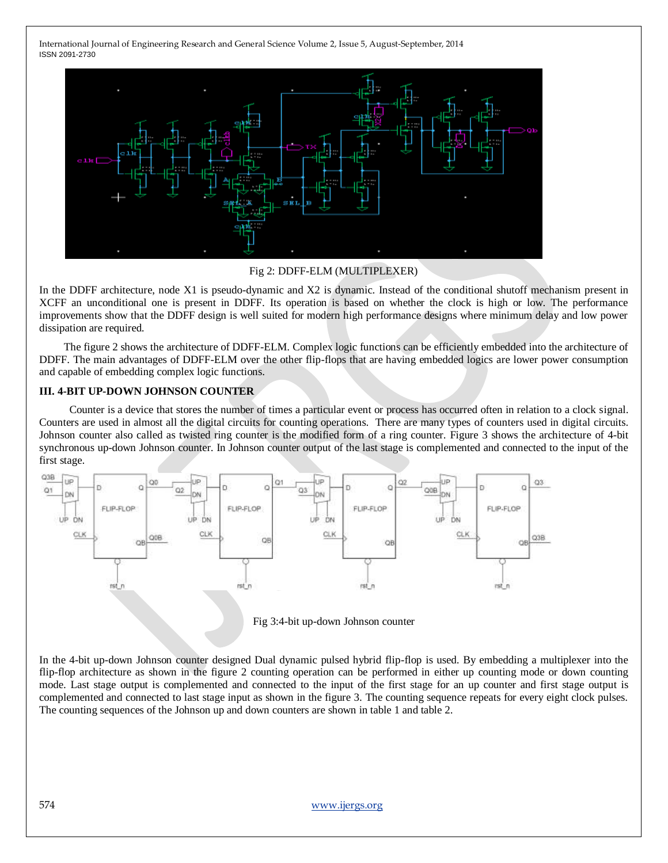

Fig 2: DDFF-ELM (MULTIPLEXER)

In the DDFF architecture, node X1 is pseudo-dynamic and X2 is dynamic. Instead of the conditional shutoff mechanism present in XCFF an unconditional one is present in DDFF. Its operation is based on whether the clock is high or low. The performance improvements show that the DDFF design is well suited for modern high performance designs where minimum delay and low power dissipation are required.

 The figure 2 shows the architecture of DDFF-ELM. Complex logic functions can be efficiently embedded into the architecture of DDFF. The main advantages of DDFF-ELM over the other flip-flops that are having embedded logics are lower power consumption and capable of embedding complex logic functions.

#### **III. 4-BIT UP-DOWN JOHNSON COUNTER**

 Counter is a device that stores the number of times a particular event or process has occurred often in relation to a clock signal. Counters are used in almost all the digital circuits for counting operations. There are many types of counters used in digital circuits. Johnson counter also called as twisted ring counter is the modified form of a ring counter. Figure 3 shows the architecture of 4-bit synchronous up-down Johnson counter. In Johnson counter output of the last stage is complemented and connected to the input of the first stage.





In the 4-bit up-down Johnson counter designed Dual dynamic pulsed hybrid flip-flop is used. By embedding a multiplexer into the flip-flop architecture as shown in the figure 2 counting operation can be performed in either up counting mode or down counting mode. Last stage output is complemented and connected to the input of the first stage for an up counter and first stage output is complemented and connected to last stage input as shown in the figure 3. The counting sequence repeats for every eight clock pulses. The counting sequences of the Johnson up and down counters are shown in table 1 and table 2.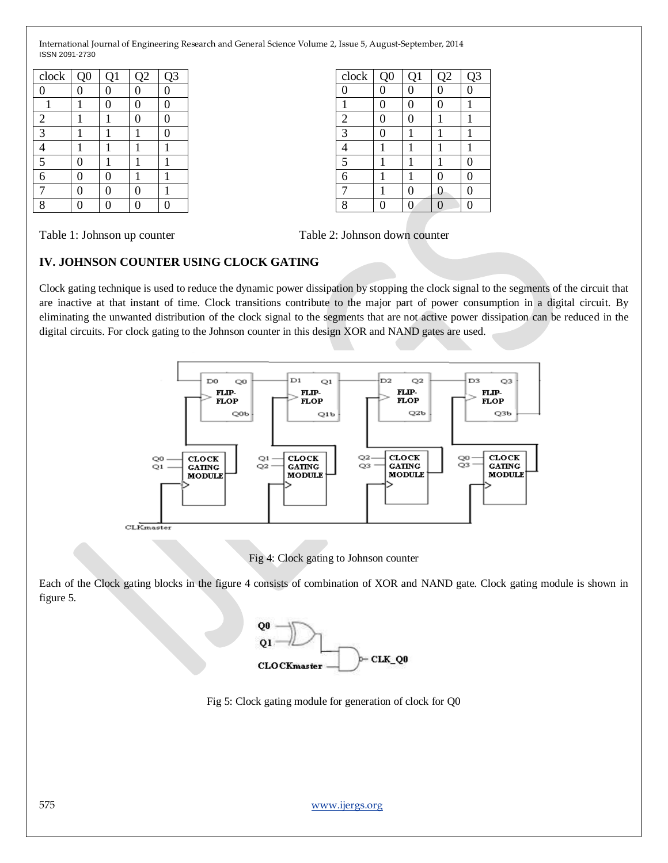| clock                    | Q <sub>0</sub> | Q1 | Q2 | Q <sub>3</sub> |
|--------------------------|----------------|----|----|----------------|
| $\boldsymbol{0}$         | 0              | 0  | 0  | 0              |
|                          |                | 0  | 0  | 0              |
| $\mathbf{2}$             |                |    | 0  | O              |
| $\overline{3}$           |                |    |    | $\Omega$       |
| $\overline{\mathcal{A}}$ |                |    |    |                |
| $\overline{\mathbf{5}}$  | 0              |    |    |                |
| $\overline{6}$           | 0              | 0  |    |                |
|                          | 0              | 0  | 0  |                |
| 8                        |                | 0  |    |                |

| clock                   | Q <sub>0</sub>   | Q1 | Q2             | Q <sub>3</sub> |
|-------------------------|------------------|----|----------------|----------------|
| $\boldsymbol{0}$        | $\boldsymbol{0}$ | 0  | $\overline{0}$ | 0              |
| 1                       | 0                | 0  | 0              |                |
| $\frac{2}{3}$           | $\mathbf{0}$     | 0  |                |                |
|                         | 0                |    | l              |                |
| 4                       |                  |    | 1              |                |
| $\overline{\mathbf{5}}$ |                  |    | 1              | 0              |
| $\overline{6}$          |                  |    | 0              | 0              |
|                         |                  | 0  | 0              | 0              |
| 8                       |                  | 0  | 0              | 0              |

Table 1: Johnson up counter Table 2: Johnson down counter Table 2: Johnson down counter

## **IV. JOHNSON COUNTER USING CLOCK GATING**

Clock gating technique is used to reduce the dynamic power dissipation by stopping the clock signal to the segments of the circuit that are inactive at that instant of time. Clock transitions contribute to the major part of power consumption in a digital circuit. By eliminating the unwanted distribution of the clock signal to the segments that are not active power dissipation can be reduced in the digital circuits. For clock gating to the Johnson counter in this design XOR and NAND gates are used.



Fig 4: Clock gating to Johnson counter

Each of the Clock gating blocks in the figure 4 consists of combination of XOR and NAND gate. Clock gating module is shown in figure 5.



Fig 5: Clock gating module for generation of clock for Q0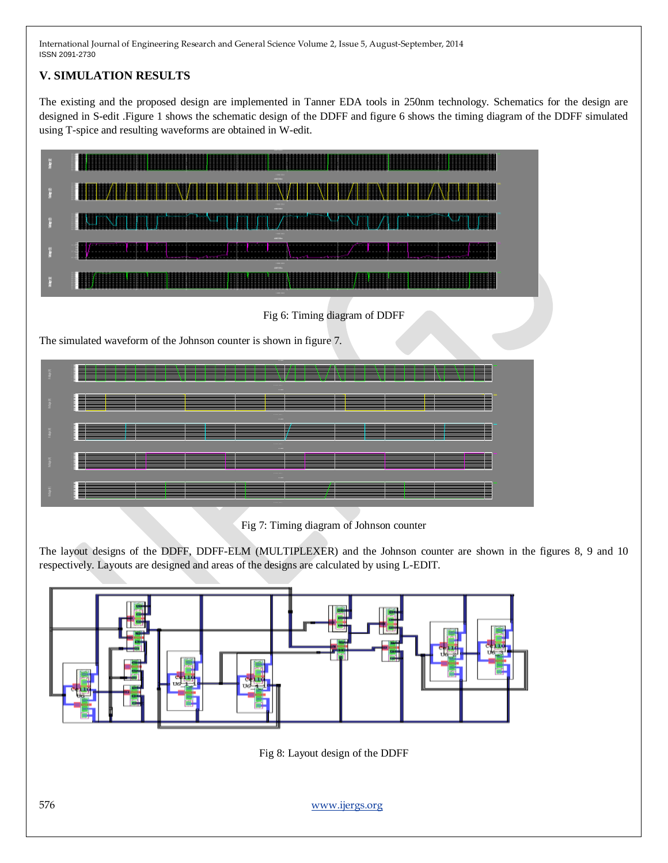## **V. SIMULATION RESULTS**

The existing and the proposed design are implemented in Tanner EDA tools in 250nm technology. Schematics for the design are designed in S-edit .Figure 1 shows the schematic design of the DDFF and figure 6 shows the timing diagram of the DDFF simulated using T-spice and resulting waveforms are obtained in W-edit.





Fig 7: Timing diagram of Johnson counter

The layout designs of the DDFF, DDFF-ELM (MULTIPLEXER) and the Johnson counter are shown in the figures 8, 9 and 10 respectively. Layouts are designed and areas of the designs are calculated by using L-EDIT.



Fig 8: Layout design of the DDFF

576 [www.ijergs.org](http://www.ijergs.org/)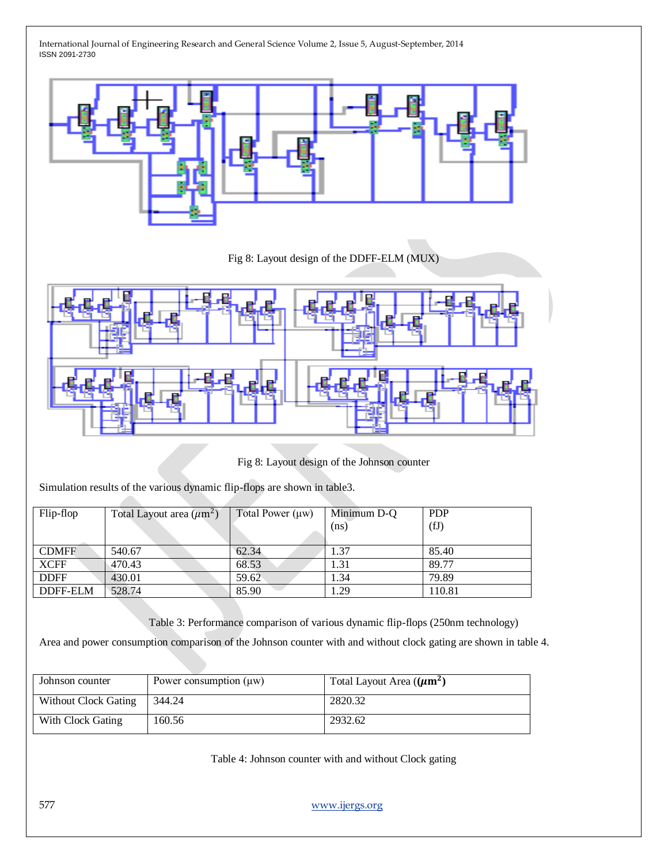

Fig 8: Layout design of the DDFF-ELM (MUX)



Fig 8: Layout design of the Johnson counter

Simulation results of the various dynamic flip-flops are shown in table3.

**START COMPANY** 

| Flip-flop    | Total Layout area $(\mu m^2)$ | Total Power $(\mu w)$ | Minimum D-Q | <b>PDP</b> |
|--------------|-------------------------------|-----------------------|-------------|------------|
|              |                               |                       | (ns)        | (fJ)       |
|              |                               |                       |             |            |
| <b>CDMFF</b> | 540.67                        | 62.34                 | 1.37        | 85.40      |
| <b>XCFF</b>  | 470.43                        | 68.53                 | 1.31        | 89.77      |
| <b>DDFF</b>  | 430.01                        | 59.62                 | 1.34        | 79.89      |
| DDFF-ELM     | 528.74                        | 85.90                 | 1.29        | 110.81     |

Table 3: Performance comparison of various dynamic flip-flops (250nm technology)

Area and power consumption comparison of the Johnson counter with and without clock gating are shown in table 4.

| Johnson counter             | Power consumption $(\mu w)$ | Total Layout Area $((\mu m^2))$ |
|-----------------------------|-----------------------------|---------------------------------|
| <b>Without Clock Gating</b> | 344.24                      | 2820.32                         |
| With Clock Gating           | 160.56                      | 2932.62                         |

Table 4: Johnson counter with and without Clock gating

577 [www.ijergs.org](http://www.ijergs.org/)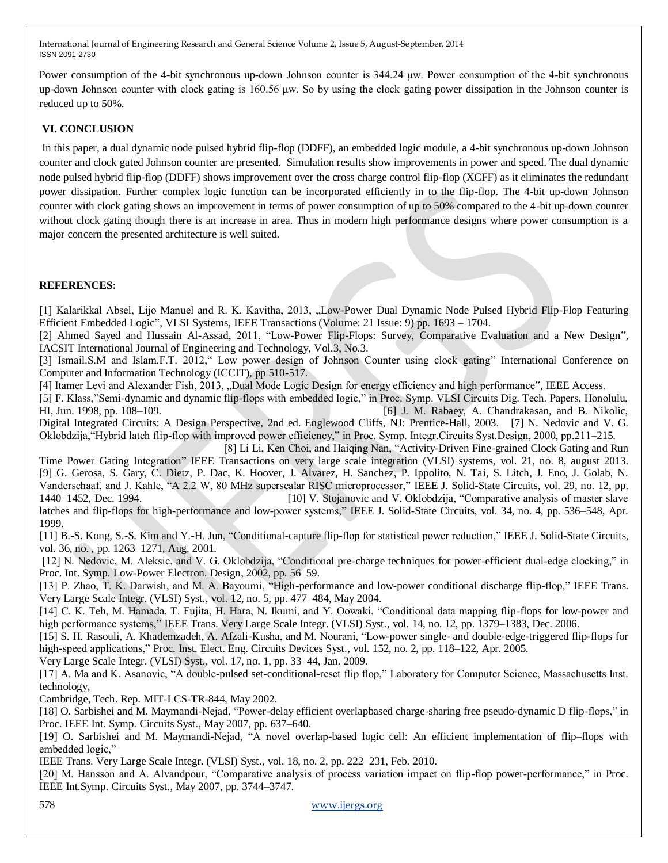Power consumption of the 4-bit synchronous up-down Johnson counter is 344.24 μw. Power consumption of the 4-bit synchronous up-down Johnson counter with clock gating is 160.56 μw. So by using the clock gating power dissipation in the Johnson counter is reduced up to 50%.

## **VI. CONCLUSION**

In this paper, a dual dynamic node pulsed hybrid flip-flop (DDFF), an embedded logic module, a 4-bit synchronous up-down Johnson counter and clock gated Johnson counter are presented. Simulation results show improvements in power and speed. The dual dynamic node pulsed hybrid flip-flop (DDFF) shows improvement over the cross charge control flip-flop (XCFF) as it eliminates the redundant power dissipation. Further complex logic function can be incorporated efficiently in to the flip-flop. The 4-bit up-down Johnson counter with clock gating shows an improvement in terms of power consumption of up to 50% compared to the 4-bit up-down counter without clock gating though there is an increase in area. Thus in modern high performance designs where power consumption is a major concern the presented architecture is well suited.

#### **REFERENCES:**

[1] Kalarikkal Absel, Lijo Manuel and R. K. Kavitha, 2013, "Low-Power Dual Dynamic Node Pulsed Hybrid Flip-Flop Featuring Efficient Embedded Logic", VLSI Systems, IEEE Transactions (Volume: 21 Issue: 9) pp. 1693 – 1704.

[2] Ahmed Sayed and Hussain Al-Assad, 2011, "Low-Power Flip-Flops: Survey, Comparative Evaluation and a New Design", IACSIT International Journal of Engineering and Technology, Vol.3, No.3.

[3] Ismail.S.M and Islam.F.T. 2012," Low power design of Johnson Counter using clock gating" International Conference on Computer and Information Technology (ICCIT), pp 510-517.

[4] Itamer Levi and Alexander Fish, 2013, "Dual Mode Logic Design for energy efficiency and high performance", IEEE Access.

[5] F. Klass,"Semi-dynamic and dynamic flip-flops with embedded logic," in Proc. Symp. VLSI Circuits Dig. Tech. Papers, Honolulu, HI, Jun. 1998, pp. 108–109. [6] J. M. Rabaey, A. Chandrakasan, and B. Nikolic, Digital Integrated Circuits: A Design Perspective, 2nd ed. Englewood Cliffs, NJ: Prentice-Hall, 2003. [7] N. Nedovic and V. G. Oklobdzija, "Hybrid latch flip-flop with improved power efficiency," in Proc. Symp. Integr.Circuits Syst.Design, 2000, pp.211–215.

[8] Li Li, Ken Choi, and Haiqing Nan, "Activity-Driven Fine-grained Clock Gating and Run Time Power Gating Integration" IEEE Transactions on very large scale integration (VLSI) systems, vol. 21, no. 8, august 2013. [9] G. Gerosa, S. Gary, C. Dietz, P. Dac, K. Hoover, J. Alvarez, H. Sanchez, P. Ippolito, N. Tai, S. Litch, J. Eno, J. Golab, N. Vanderschaaf, and J. Kahle, "A 2.2 W, 80 MHz superscalar RISC microprocessor," IEEE J. Solid-State Circuits, vol. 29, no. 12, pp. 1440–1452, Dec. 1994. [10] V. Stojanovic and V. Oklobdzija, "Comparative analysis of master slave latches and flip-flops for high-performance and low-power systems," IEEE J. Solid-State Circuits, vol. 34, no. 4, pp. 536–548, Apr.

1999. [11] B.-S. Kong, S.-S. Kim and Y.-H. Jun, "Conditional-capture flip-flop for statistical power reduction," IEEE J. Solid-State Circuits,

vol. 36, no. , pp. 1263–1271, Aug. 2001.

[12] N. Nedovic, M. Aleksic, and V. G. Oklobdzija, "Conditional pre-charge techniques for power-efficient dual-edge clocking," in Proc. Int. Symp. Low-Power Electron. Design, 2002, pp. 56–59.

[13] P. Zhao, T. K. Darwish, and M. A. Bayoumi, "High-performance and low-power conditional discharge flip-flop," IEEE Trans. Very Large Scale Integr. (VLSI) Syst., vol. 12, no. 5, pp. 477–484, May 2004.

[14] C. K. Teh, M. Hamada, T. Fujita, H. Hara, N. Ikumi, and Y. Oowaki, "Conditional data mapping flip-flops for low-power and high performance systems," IEEE Trans. Very Large Scale Integr. (VLSI) Syst., vol. 14, no. 12, pp. 1379–1383, Dec. 2006.

[15] S. H. Rasouli, A. Khademzadeh, A. Afzali-Kusha, and M. Nourani, "Low-power single- and double-edge-triggered flip-flops for high-speed applications," Proc. Inst. Elect. Eng. Circuits Devices Syst., vol. 152, no. 2, pp. 118–122, Apr. 2005.

Very Large Scale Integr. (VLSI) Syst., vol. 17, no. 1, pp. 33–44, Jan. 2009.

[17] A. Ma and K. Asanovic, "A double-pulsed set-conditional-reset flip flop," Laboratory for Computer Science, Massachusetts Inst. technology,

Cambridge, Tech. Rep. MIT-LCS-TR-844, May 2002.

[18] O. Sarbishei and M. Maymandi-Nejad, "Power-delay efficient overlapbased charge-sharing free pseudo-dynamic D flip-flops," in Proc. IEEE Int. Symp. Circuits Syst., May 2007, pp. 637–640.

[19] O. Sarbishei and M. Maymandi-Nejad, "A novel overlap-based logic cell: An efficient implementation of flip–flops with embedded logic,"

IEEE Trans. Very Large Scale Integr. (VLSI) Syst., vol. 18, no. 2, pp. 222–231, Feb. 2010.

[20] M. Hansson and A. Alvandpour, "Comparative analysis of process variation impact on flip-flop power-performance," in Proc. IEEE Int.Symp. Circuits Syst., May 2007, pp. 3744–3747.